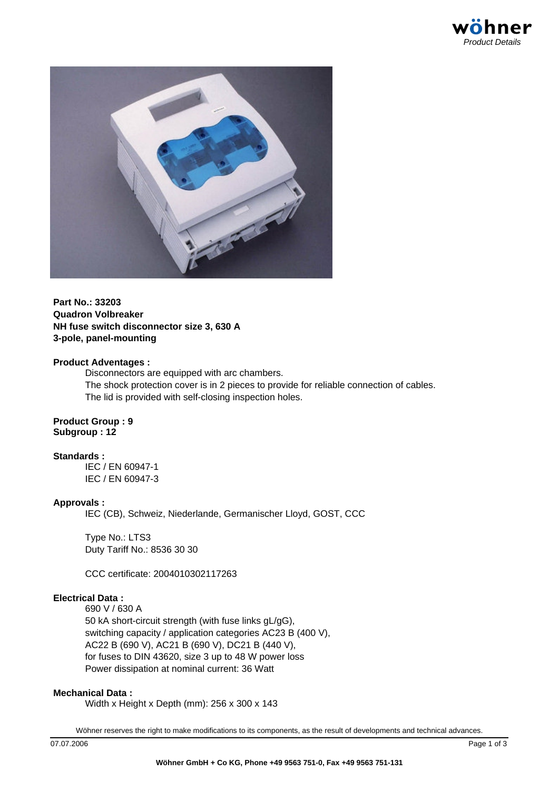



### **Part No.: 33203 Quadron Volbreaker NH fuse switch disconnector size 3, 630 A 3-pole, panel-mounting**

#### **Product Adventages :**

Disconnectors are equipped with arc chambers.

The shock protection cover is in 2 pieces to provide for reliable connection of cables. The lid is provided with self-closing inspection holes.

#### **Product Group : 9 Subgroup : 12**

### **Standards :**

IEC / EN 60947-1 IEC / EN 60947-3

### **Approvals :**

IEC (CB), Schweiz, Niederlande, Germanischer Lloyd, GOST, CCC

Type No.: LTS3 Duty Tariff No.: 8536 30 30

CCC certificate: 2004010302117263

### **Electrical Data :**

690 V / 630 A 50 kA short-circuit strength (with fuse links gL/gG), switching capacity / application categories AC23 B (400 V), AC22 B (690 V), AC21 B (690 V), DC21 B (440 V), for fuses to DIN 43620, size 3 up to 48 W power loss Power dissipation at nominal current: 36 Watt

### **Mechanical Data :**

Width x Height x Depth (mm): 256 x 300 x 143

Wöhner reserves the right to make modifications to its components, as the result of developments and technical advances.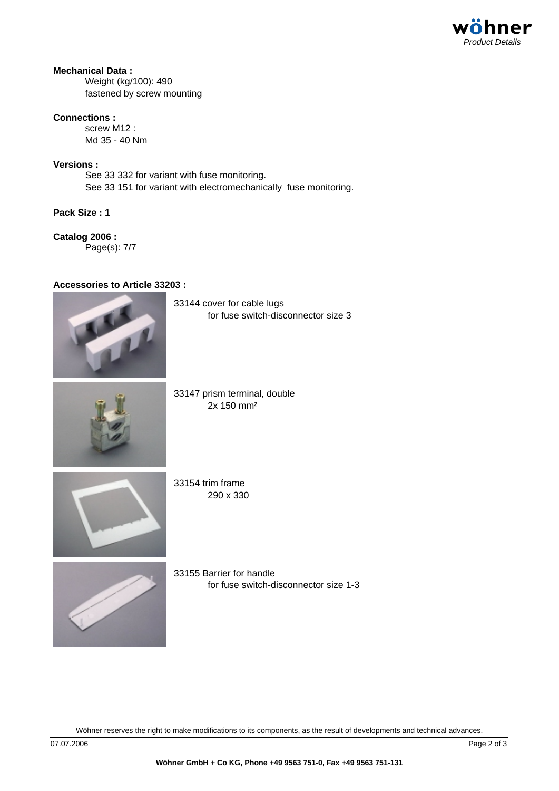

## **Mechanical Data :**

Weight (kg/100): 490 fastened by screw mounting

### **Connections :**

screw M12 : Md 35 - 40 Nm

### **Versions :**

See 33 332 for variant with fuse monitoring. See 33 151 for variant with electromechanically fuse monitoring.

**Pack Size : 1**

# **Catalog 2006 :**

Page(s): 7/7

## **Accessories to Article 33203 :**



for fuse switch-disconnector size 3



33147 prism terminal, double 2x 150 mm²

33144 cover for cable lugs



33154 trim frame 290 x 330



33155 Barrier for handle for fuse switch-disconnector size 1-3

Wöhner reserves the right to make modifications to its components, as the result of developments and technical advances.